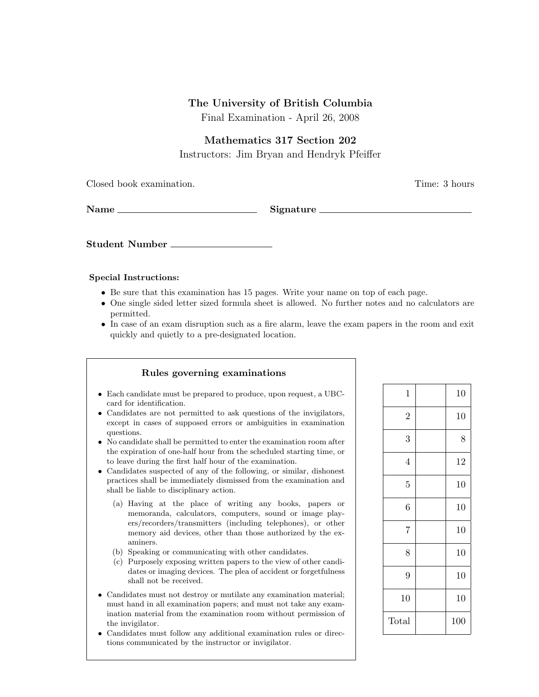### The University of British Columbia

Final Examination - April 26, 2008

Mathematics 317 Section 202

Instructors: Jim Bryan and Hendryk Pfeiffer

Closed book examination. Time: 3 hours

1 | 10

2 10

3 8

4 12

5 10

6 10

7 10

8 10

9 10

Name Signature

Student Number

#### Special Instructions:

- Be sure that this examination has 15 pages. Write your name on top of each page.
- One single sided letter sized formula sheet is allowed. No further notes and no calculators are permitted.
- In case of an exam disruption such as a fire alarm, leave the exam papers in the room and exit quickly and quietly to a pre-designated location.

#### Rules governing examinations • Each candidate must be prepared to produce, upon request, a UBCcard for identification. • Candidates are not permitted to ask questions of the invigilators, except in cases of supposed errors or ambiguities in examination questions. • No candidate shall be permitted to enter the examination room after the expiration of one-half hour from the scheduled starting time, or to leave during the first half hour of the examination. • Candidates suspected of any of the following, or similar, dishonest practices shall be immediately dismissed from the examination and shall be liable to disciplinary action. (a) Having at the place of writing any books, papers or memoranda, calculators, computers, sound or image players/recorders/transmitters (including telephones), or other memory aid devices, other than those authorized by the examiners. (b) Speaking or communicating with other candidates. (c) Purposely exposing written papers to the view of other candidates or imaging devices. The plea of accident or forgetfulness shall not be received. • Candidates must not destroy or mutilate any examination material; must hand in all examination papers; and must not take any examination material from the examination room without permission of the invigilator. • Candidates must follow any additional examination rules or direc-10 10  $Total$  100

tions communicated by the instructor or invigilator.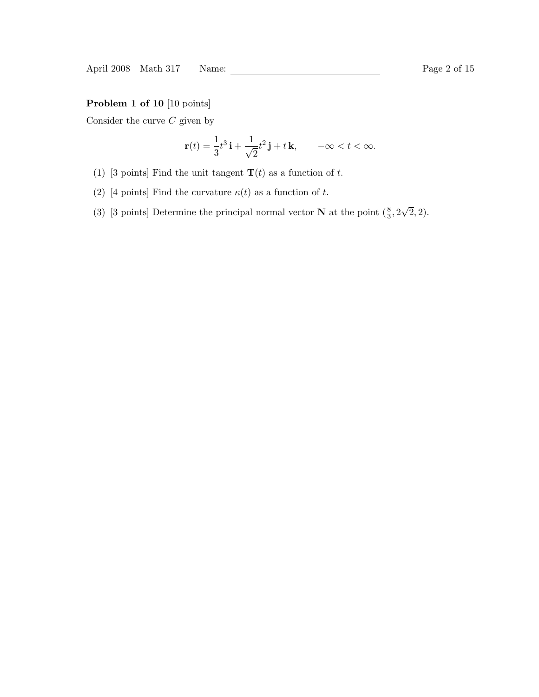## Problem 1 of 10 [10 points]

Consider the curve  $C$  given by

$$
\mathbf{r}(t) = \frac{1}{3}t^3\,\mathbf{i} + \frac{1}{\sqrt{2}}t^2\,\mathbf{j} + t\,\mathbf{k}, \qquad -\infty < t < \infty.
$$

- (1) [3 points] Find the unit tangent  $\mathbf{T}(t)$  as a function of t.
- (2) [4 points] Find the curvature  $\kappa(t)$  as a function of t.
- (3) [3 points] Determine the principal normal vector **N** at the point  $(\frac{8}{3}, 2)$ √  $(2, 2).$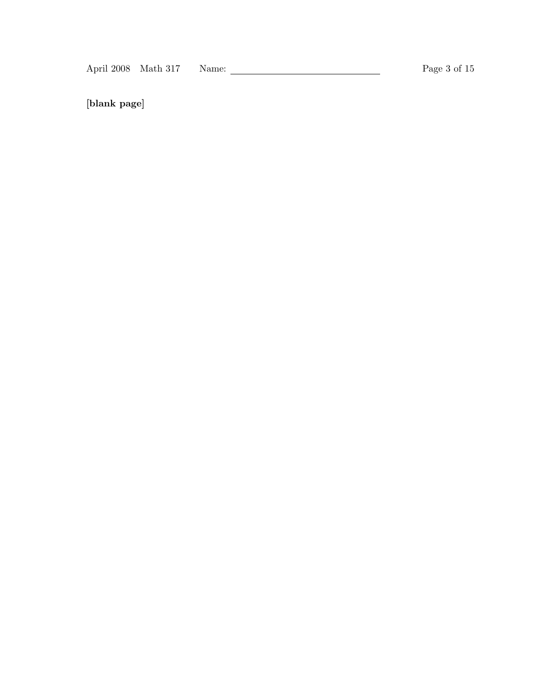April 2008 Math 317 Name: 2008 Math 317 Name: 2008 Page 3 of 15

[blank page]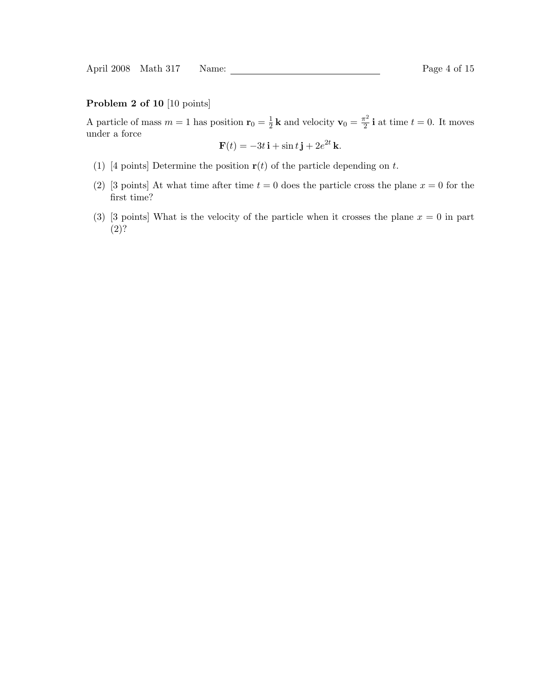## Problem 2 of 10 [10 points]

A particle of mass  $m = 1$  has position  $\mathbf{r}_0 = \frac{1}{2}$  $\frac{1}{2}$ **k** and velocity **v**<sub>0</sub> =  $\frac{\pi^2}{2}$  $\frac{t^2}{2}$  **i** at time  $t = 0$ . It moves under a force

$$
\mathbf{F}(t) = -3t\,\mathbf{i} + \sin t\,\mathbf{j} + 2e^{2t}\,\mathbf{k}.
$$

- (1) [4 points] Determine the position  $r(t)$  of the particle depending on t.
- (2) [3 points] At what time after time  $t = 0$  does the particle cross the plane  $x = 0$  for the first time?
- (3) [3 points] What is the velocity of the particle when it crosses the plane  $x = 0$  in part (2)?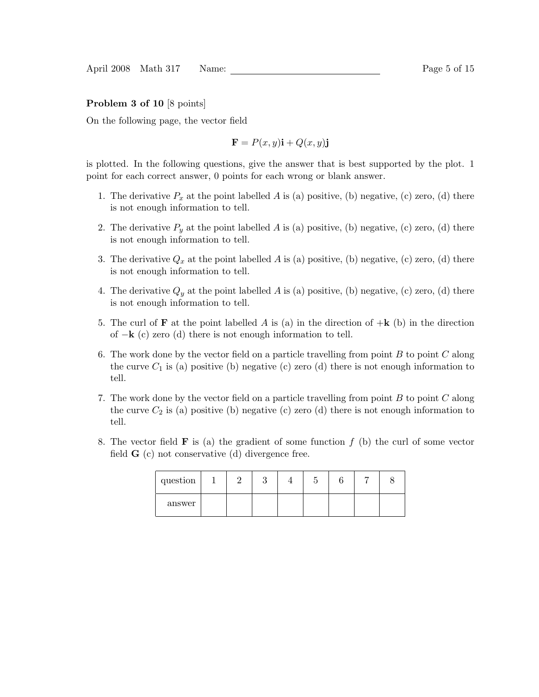### Problem 3 of 10 [8 points]

On the following page, the vector field

$$
\mathbf{F} = P(x, y)\mathbf{i} + Q(x, y)\mathbf{j}
$$

is plotted. In the following questions, give the answer that is best supported by the plot. 1 point for each correct answer, 0 points for each wrong or blank answer.

- 1. The derivative  $P_x$  at the point labelled A is (a) positive, (b) negative, (c) zero, (d) there is not enough information to tell.
- 2. The derivative  $P_y$  at the point labelled A is (a) positive, (b) negative, (c) zero, (d) there is not enough information to tell.
- 3. The derivative  $Q_x$  at the point labelled A is (a) positive, (b) negative, (c) zero, (d) there is not enough information to tell.
- 4. The derivative  $Q_y$  at the point labelled A is (a) positive, (b) negative, (c) zero, (d) there is not enough information to tell.
- 5. The curl of **F** at the point labelled A is (a) in the direction of  $+{\bf k}$  (b) in the direction of −k (c) zero (d) there is not enough information to tell.
- 6. The work done by the vector field on a particle travelling from point  $B$  to point  $C$  along the curve  $C_1$  is (a) positive (b) negative (c) zero (d) there is not enough information to tell.
- 7. The work done by the vector field on a particle travelling from point  $B$  to point  $C$  along the curve  $C_2$  is (a) positive (b) negative (c) zero (d) there is not enough information to tell.
- 8. The vector field  $\bf{F}$  is (a) the gradient of some function f (b) the curl of some vector field  $\bf{G}$  (c) not conservative (d) divergence free.

| question |  |  |  |  |
|----------|--|--|--|--|
| answer   |  |  |  |  |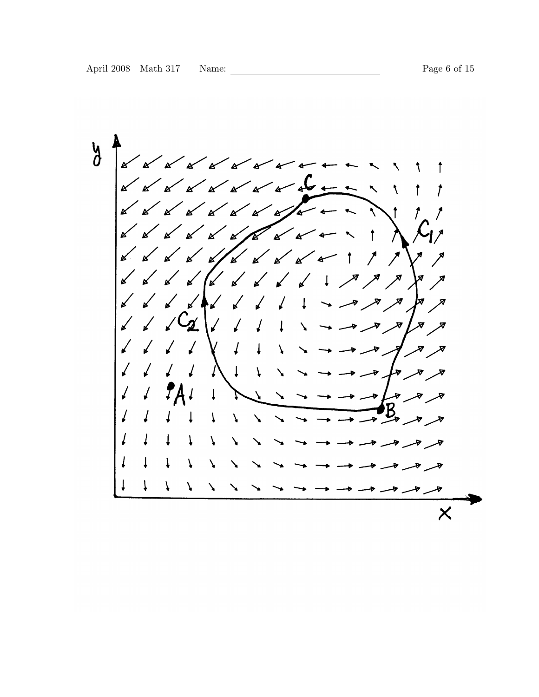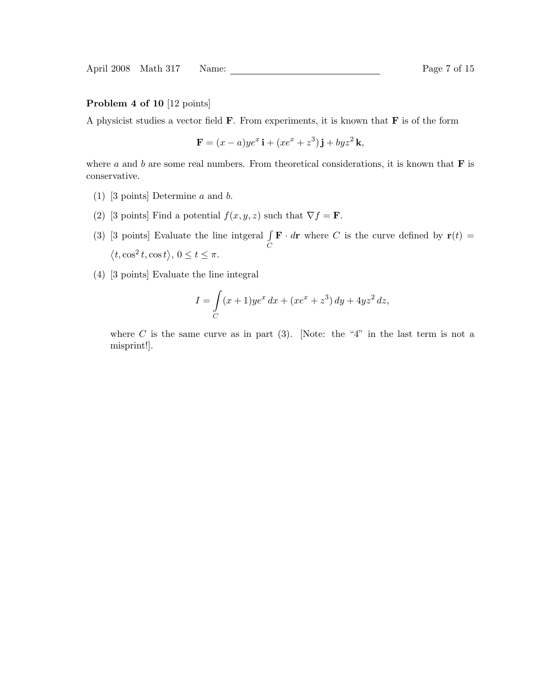### Problem 4 of 10 [12 points]

A physicist studies a vector field  $\bf{F}$ . From experiments, it is known that  $\bf{F}$  is of the form

$$
\mathbf{F} = (x - a)ye^x \mathbf{i} + (xe^x + z^3)\mathbf{j} + byz^2 \mathbf{k},
$$

where a and b are some real numbers. From theoretical considerations, it is known that  $\bf{F}$  is conservative.

- (1) [3 points] Determine a and b.
- (2) [3 points] Find a potential  $f(x, y, z)$  such that  $\nabla f = \mathbf{F}$ .
- $(3)$  [3 points] Evaluate the line intgeral  $\int$  $\mathcal{C}_{0}^{0}$  $\mathbf{F} \cdot d\mathbf{r}$  where C is the curve defined by  $\mathbf{r}(t) =$  $\langle t, \cos^2 t, \cos t \rangle, 0 \le t \le \pi.$
- (4) [3 points] Evaluate the line integral

$$
I = \int_{C} (x+1)ye^{x} dx + (xe^{x} + z^{3}) dy + 4yz^{2} dz,
$$

where  $C$  is the same curve as in part  $(3)$ . [Note: the "4" in the last term is not a misprint!].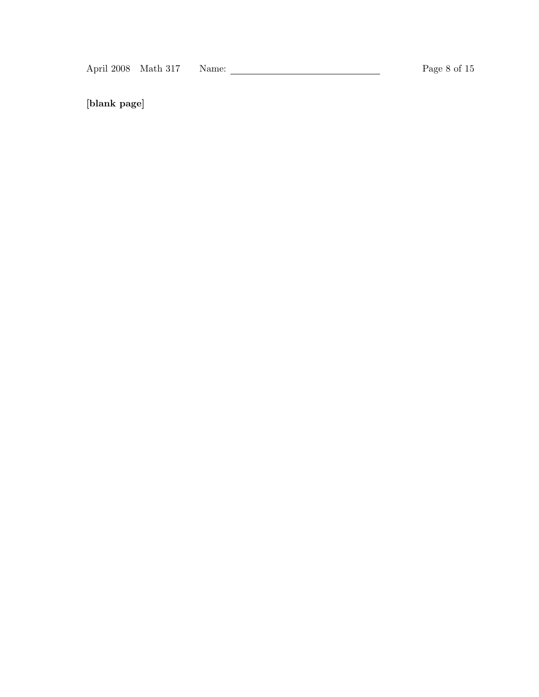April 2008 Math 317 Name: 2008 Math 317 Name: 2008 Page 8 of 15

[blank page]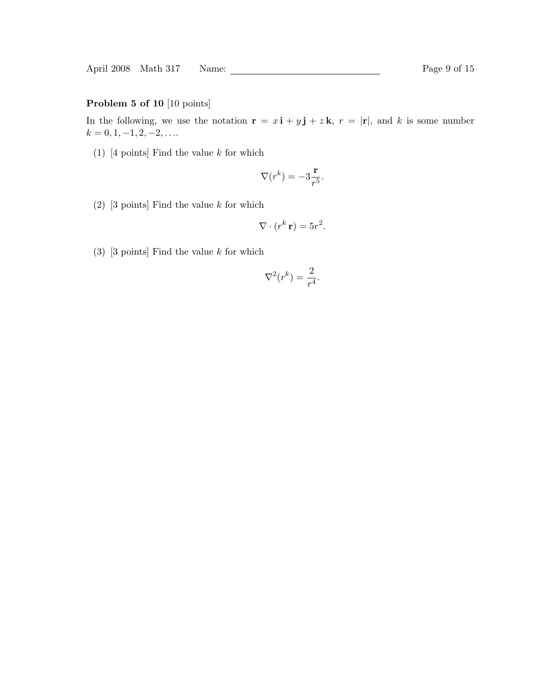## Problem 5 of 10 [10 points]

In the following, we use the notation  $\mathbf{r} = x\mathbf{i} + y\mathbf{j} + z\mathbf{k}$ ,  $r = |\mathbf{r}|$ , and k is some number  $k = 0, 1, -1, 2, -2, \ldots$ 

(1)  $[4 \text{ points}]$  Find the value k for which

$$
\nabla(r^k) = -3\frac{\mathbf{r}}{r^5}.
$$

 $(2)$  [3 points] Find the value k for which

$$
\nabla \cdot (r^k \mathbf{r}) = 5r^2.
$$

 $(3)$  [3 points] Find the value k for which

$$
\nabla^2(r^k) = \frac{2}{r^4}.
$$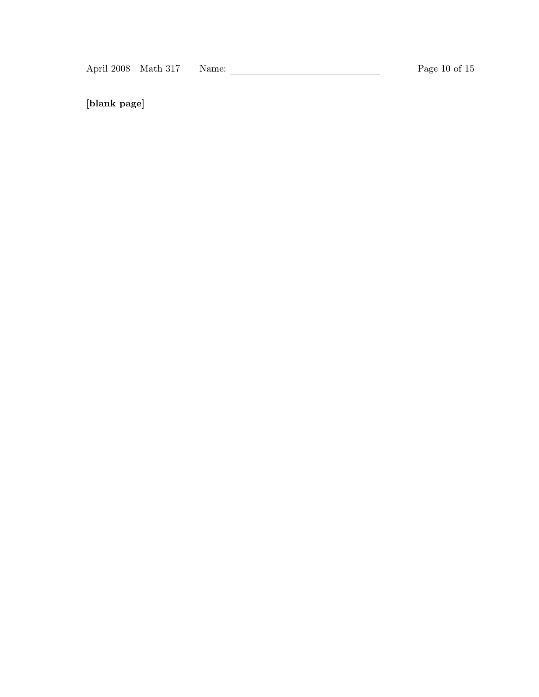April 2008 Math 317 Name: Page 10 of 15

[blank page]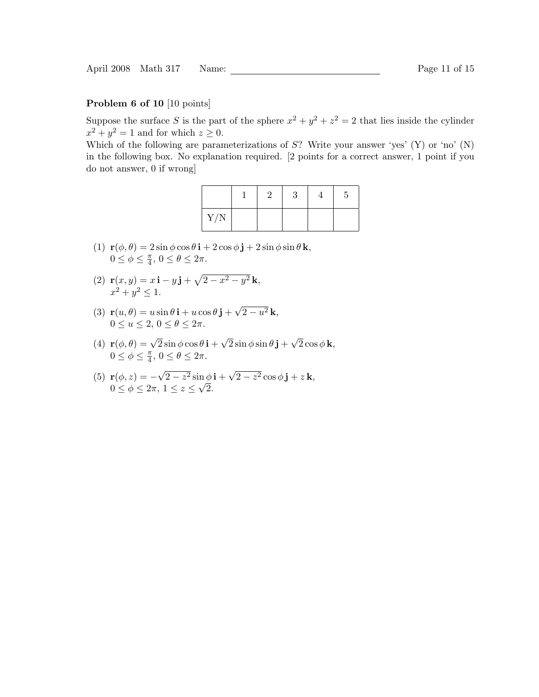### Problem 6 of 10 [10 points]

Suppose the surface S is the part of the sphere  $x^2 + y^2 + z^2 = 2$  that lies inside the cylinder  $x^2 + y^2 = 1$  and for which  $z \ge 0$ .

Which of the following are parameterizations of  $S$ ? Write your answer 'yes'  $(Y)$  or 'no'  $(N)$ in the following box. No explanation required. [2 points for a correct answer, 1 point if you do not answer, 0 if wrong]

| Y/N |  |  |  |
|-----|--|--|--|

- (1)  $\mathbf{r}(\phi, \theta) = 2 \sin \phi \cos \theta \mathbf{i} + 2 \cos \phi \mathbf{j} + 2 \sin \phi \sin \theta \mathbf{k},$  $0 \leq \phi \leq \frac{\pi}{4}$  $\frac{\pi}{4}$ ,  $0 \le \theta \le 2\pi$ .
- (2)  $\mathbf{r}(x, y) = x\mathbf{i} y\mathbf{j} + \sqrt{2 x^2 y^2}\mathbf{k},$  $x^2 + y^2 \leq 1.$
- (3)  $\mathbf{r}(u, \theta) = u \sin \theta \mathbf{i} + u \cos \theta \mathbf{j} +$ √  $\overline{2-u^2}$  k,  $0 \le u \le 2, 0 \le \theta \le 2\pi$ .
- (4)  $\mathbf{r}(\phi, \theta) = \sqrt{2} \sin \phi \cos \theta \mathbf{i} +$ √  $2\sin\phi\sin\theta\,\mathbf{j} +$ √  $2\cos\phi\mathbf{k},$  $0 \leq \phi \leq \frac{\pi}{4}$  $\frac{\pi}{4}$ ,  $0 \le \theta \le 2\pi$ .
- (5)  $r(\phi, z) = -$ √  $\sqrt{2-z^2}\sin\phi\,\mathbf{i} +$ √  $\sin \phi \mathbf{i} + \sqrt{2-z^2} \cos \phi \mathbf{j} + z \mathbf{k},$  $0 \leq \phi \leq 2\pi, \ 1 \leq z \leq \sqrt{2}.$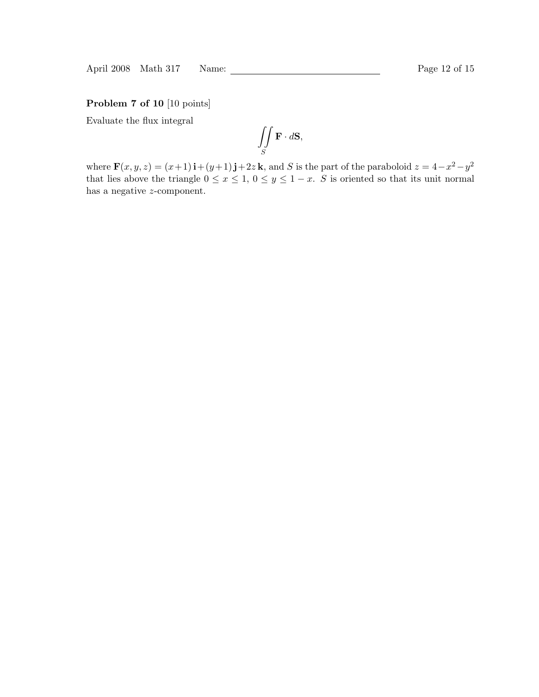## Problem 7 of 10 [10 points]

Evaluate the flux integral

$$
\iint\limits_{S} \mathbf{F} \cdot d\mathbf{S},
$$

where  $\mathbf{F}(x, y, z) = (x+1)\mathbf{i} + (y+1)\mathbf{j} + 2z\mathbf{k}$ , and S is the part of the paraboloid  $z = 4-x^2-y^2$ that lies above the triangle  $0 \le x \le 1, 0 \le y \le 1-x$ . S is oriented so that its unit normal has a negative z-component.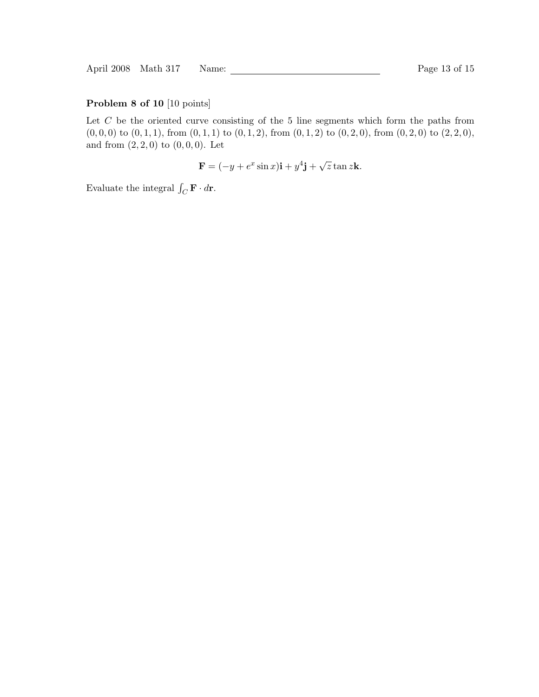# Problem 8 of 10 [10 points]

Let  $C$  be the oriented curve consisting of the  $5$  line segments which form the paths from  $(0, 0, 0)$  to  $(0, 1, 1)$ , from  $(0, 1, 1)$  to  $(0, 1, 2)$ , from  $(0, 1, 2)$  to  $(0, 2, 0)$ , from  $(0, 2, 0)$  to  $(2, 2, 0)$ , and from  $(2, 2, 0)$  to  $(0, 0, 0)$ . Let

$$
\mathbf{F} = (-y + e^x \sin x)\mathbf{i} + y^4 \mathbf{j} + \sqrt{z} \tan z \mathbf{k}.
$$

Evaluate the integral  $\int_C \mathbf{F} \cdot d\mathbf{r}$ .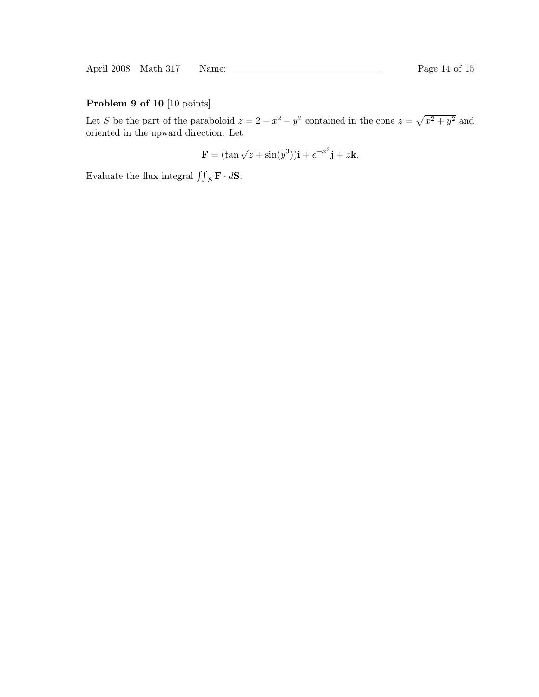April 2008 Math 317 Name: 2008 Math 317 Name: 2008 Page 14 of 15

# Problem 9 of 10 [10 points]

Let S be the part of the paraboloid  $z = 2 - x^2 - y^2$  contained in the cone  $z = \sqrt{x^2 + y^2}$  and oriented in the upward direction. Let

$$
\mathbf{F} = (\tan\sqrt{z} + \sin(y^3))\mathbf{i} + e^{-x^2}\mathbf{j} + z\mathbf{k}.
$$

Evaluate the flux integral  $\iint_S \mathbf{F} \cdot d\mathbf{S}$ .